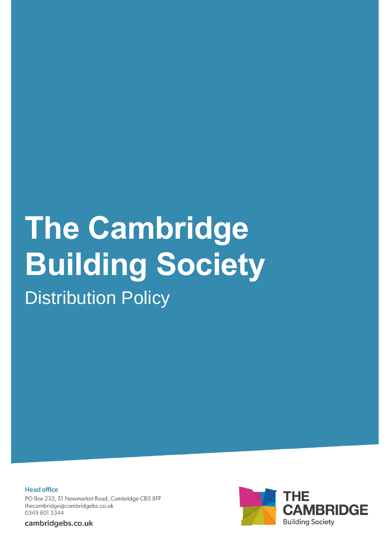## **The Cambridge Building Society Distribution Policy**

**Head office** PO Box 232, 51 Newmarket Road, Cambridge CB5 8FF thecambridge@cambridgebs.co.uk 0345 601 3344

cambridgebs.co.uk

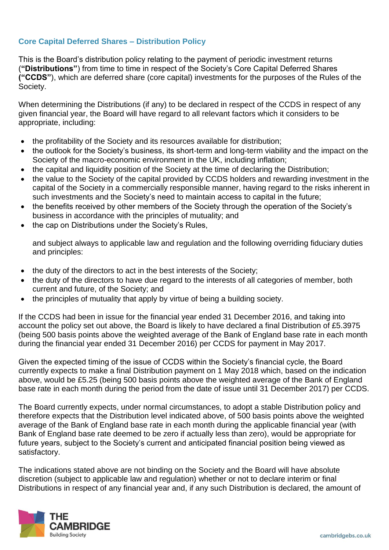## **Core Capital Deferred Shares – Distribution Policy**

This is the Board's distribution policy relating to the payment of periodic investment returns (**"Distributions"**) from time to time in respect of the Society's Core Capital Deferred Shares **("CCDS"**), which are deferred share (core capital) investments for the purposes of the Rules of the Society.

When determining the Distributions (if any) to be declared in respect of the CCDS in respect of any given financial year, the Board will have regard to all relevant factors which it considers to be appropriate, including:

- the profitability of the Society and its resources available for distribution;
- the outlook for the Society's business, its short-term and long-term viability and the impact on the Society of the macro-economic environment in the UK, including inflation;
- the capital and liquidity position of the Society at the time of declaring the Distribution;
- the value to the Society of the capital provided by CCDS holders and rewarding investment in the capital of the Society in a commercially responsible manner, having regard to the risks inherent in such investments and the Society's need to maintain access to capital in the future;
- the benefits received by other members of the Society through the operation of the Society's business in accordance with the principles of mutuality; and
- the cap on Distributions under the Society's Rules,

and subject always to applicable law and regulation and the following overriding fiduciary duties and principles:

- the duty of the directors to act in the best interests of the Society;
- the duty of the directors to have due regard to the interests of all categories of member, both current and future, of the Society; and
- the principles of mutuality that apply by virtue of being a building society.

If the CCDS had been in issue for the financial year ended 31 December 2016, and taking into account the policy set out above, the Board is likely to have declared a final Distribution of £5.3975 (being 500 basis points above the weighted average of the Bank of England base rate in each month during the financial year ended 31 December 2016) per CCDS for payment in May 2017.

Given the expected timing of the issue of CCDS within the Society's financial cycle, the Board currently expects to make a final Distribution payment on 1 May 2018 which, based on the indication above, would be £5.25 (being 500 basis points above the weighted average of the Bank of England base rate in each month during the period from the date of issue until 31 December 2017) per CCDS.

The Board currently expects, under normal circumstances, to adopt a stable Distribution policy and therefore expects that the Distribution level indicated above, of 500 basis points above the weighted average of the Bank of England base rate in each month during the applicable financial year (with Bank of England base rate deemed to be zero if actually less than zero), would be appropriate for future years, subject to the Society's current and anticipated financial position being viewed as satisfactory.

The indications stated above are not binding on the Society and the Board will have absolute discretion (subject to applicable law and regulation) whether or not to declare interim or final Distributions in respect of any financial year and, if any such Distribution is declared, the amount of

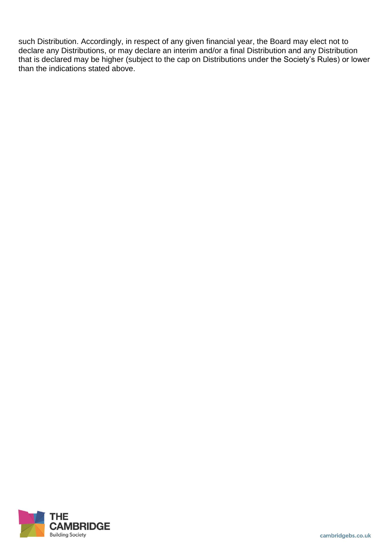such Distribution. Accordingly, in respect of any given financial year, the Board may elect not to declare any Distributions, or may declare an interim and/or a final Distribution and any Distribution that is declared may be higher (subject to the cap on Distributions under the Society's Rules) or lower than the indications stated above.